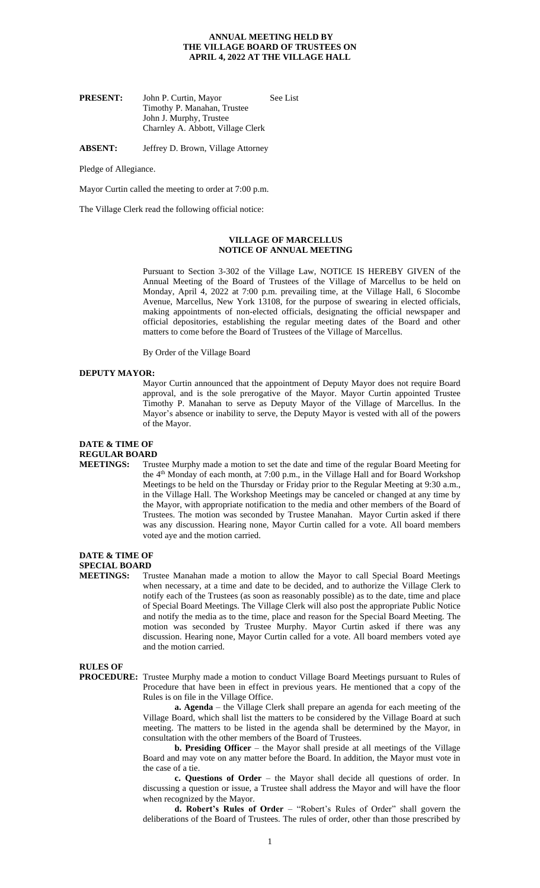## **ANNUAL MEETING HELD BY THE VILLAGE BOARD OF TRUSTEES ON APRIL 4, 2022 AT THE VILLAGE HALL**

| <b>PRESENT:</b> | John P. Curtin, Mayor             | See List |
|-----------------|-----------------------------------|----------|
|                 | Timothy P. Manahan, Trustee       |          |
|                 | John J. Murphy, Trustee           |          |
|                 | Charnley A. Abbott, Village Clerk |          |

**ABSENT:** Jeffrey D. Brown, Village Attorney

Pledge of Allegiance.

Mayor Curtin called the meeting to order at 7:00 p.m.

The Village Clerk read the following official notice:

### **VILLAGE OF MARCELLUS NOTICE OF ANNUAL MEETING**

Pursuant to Section 3-302 of the Village Law, NOTICE IS HEREBY GIVEN of the Annual Meeting of the Board of Trustees of the Village of Marcellus to be held on Monday, April 4, 2022 at 7:00 p.m. prevailing time, at the Village Hall, 6 Slocombe Avenue, Marcellus, New York 13108, for the purpose of swearing in elected officials, making appointments of non-elected officials, designating the official newspaper and official depositories, establishing the regular meeting dates of the Board and other matters to come before the Board of Trustees of the Village of Marcellus.

By Order of the Village Board

#### **DEPUTY MAYOR:**

Mayor Curtin announced that the appointment of Deputy Mayor does not require Board approval, and is the sole prerogative of the Mayor. Mayor Curtin appointed Trustee Timothy P. Manahan to serve as Deputy Mayor of the Village of Marcellus. In the Mayor's absence or inability to serve, the Deputy Mayor is vested with all of the powers of the Mayor.

## **DATE & TIME OF REGULAR BOARD**

**MEETINGS:** Trustee Murphy made a motion to set the date and time of the regular Board Meeting for the 4th Monday of each month, at 7:00 p.m., in the Village Hall and for Board Workshop Meetings to be held on the Thursday or Friday prior to the Regular Meeting at 9:30 a.m., in the Village Hall. The Workshop Meetings may be canceled or changed at any time by the Mayor, with appropriate notification to the media and other members of the Board of Trustees. The motion was seconded by Trustee Manahan. Mayor Curtin asked if there was any discussion. Hearing none, Mayor Curtin called for a vote. All board members voted aye and the motion carried.

## **DATE & TIME OF SPECIAL BOARD**

**MEETINGS:** Trustee Manahan made a motion to allow the Mayor to call Special Board Meetings when necessary, at a time and date to be decided, and to authorize the Village Clerk to notify each of the Trustees (as soon as reasonably possible) as to the date, time and place of Special Board Meetings. The Village Clerk will also post the appropriate Public Notice and notify the media as to the time, place and reason for the Special Board Meeting. The motion was seconded by Trustee Murphy. Mayor Curtin asked if there was any discussion. Hearing none, Mayor Curtin called for a vote. All board members voted aye and the motion carried.

**RULES OF** 

**PROCEDURE:** Trustee Murphy made a motion to conduct Village Board Meetings pursuant to Rules of Procedure that have been in effect in previous years. He mentioned that a copy of the Rules is on file in the Village Office.

**a. Agenda** – the Village Clerk shall prepare an agenda for each meeting of the Village Board, which shall list the matters to be considered by the Village Board at such meeting. The matters to be listed in the agenda shall be determined by the Mayor, in consultation with the other members of the Board of Trustees.

**b. Presiding Officer** – the Mayor shall preside at all meetings of the Village Board and may vote on any matter before the Board. In addition, the Mayor must vote in the case of a tie.

**c. Questions of Order** – the Mayor shall decide all questions of order. In discussing a question or issue, a Trustee shall address the Mayor and will have the floor when recognized by the Mayor.

**d. Robert's Rules of Order** – "Robert's Rules of Order" shall govern the deliberations of the Board of Trustees. The rules of order, other than those prescribed by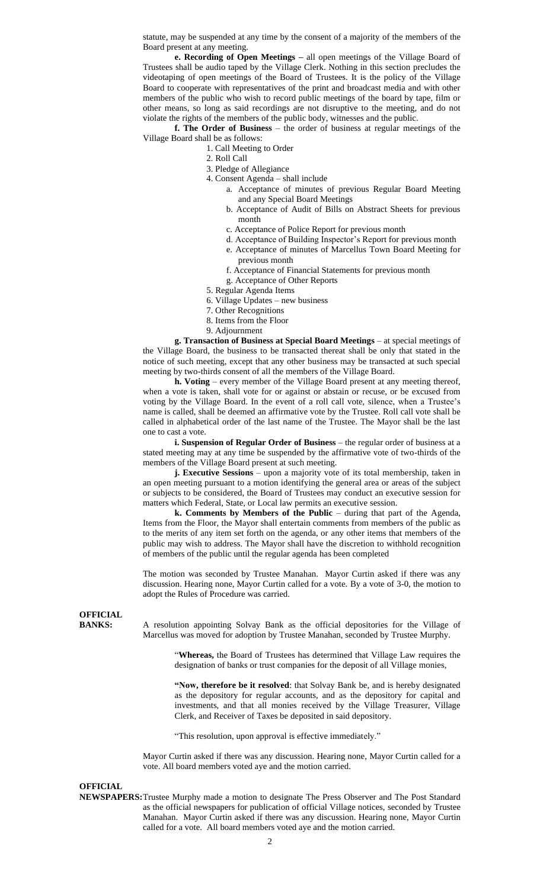statute, may be suspended at any time by the consent of a majority of the members of the Board present at any meeting.

**e. Recording of Open Meetings –** all open meetings of the Village Board of Trustees shall be audio taped by the Village Clerk. Nothing in this section precludes the videotaping of open meetings of the Board of Trustees. It is the policy of the Village Board to cooperate with representatives of the print and broadcast media and with other members of the public who wish to record public meetings of the board by tape, film or other means, so long as said recordings are not disruptive to the meeting, and do not violate the rights of the members of the public body, witnesses and the public.

**f. The Order of Business** – the order of business at regular meetings of the Village Board shall be as follows:

- 1. Call Meeting to Order
- 2. Roll Call
- 3. Pledge of Allegiance
- 4. Consent Agenda shall include
	- a. Acceptance of minutes of previous Regular Board Meeting and any Special Board Meetings
	- b. Acceptance of Audit of Bills on Abstract Sheets for previous month
	- c. Acceptance of Police Report for previous month
	- d. Acceptance of Building Inspector's Report for previous month
	- e. Acceptance of minutes of Marcellus Town Board Meeting for previous month
	- f. Acceptance of Financial Statements for previous month
	- g. Acceptance of Other Reports
- 5. Regular Agenda Items
- 6. Village Updates new business
- 7. Other Recognitions
- 8. Items from the Floor
- 9. Adjournment

**g. Transaction of Business at Special Board Meetings** – at special meetings of the Village Board, the business to be transacted thereat shall be only that stated in the notice of such meeting, except that any other business may be transacted at such special meeting by two-thirds consent of all the members of the Village Board.

**h. Voting** – every member of the Village Board present at any meeting thereof, when a vote is taken, shall vote for or against or abstain or recuse, or be excused from voting by the Village Board. In the event of a roll call vote, silence, when a Trustee's name is called, shall be deemed an affirmative vote by the Trustee. Roll call vote shall be called in alphabetical order of the last name of the Trustee. The Mayor shall be the last one to cast a vote.

**i. Suspension of Regular Order of Business** – the regular order of business at a stated meeting may at any time be suspended by the affirmative vote of two-thirds of the members of the Village Board present at such meeting.

**j. Executive Sessions** – upon a majority vote of its total membership, taken in an open meeting pursuant to a motion identifying the general area or areas of the subject or subjects to be considered, the Board of Trustees may conduct an executive session for matters which Federal, State, or Local law permits an executive session.

**k. Comments by Members of the Public – during that part of the Agenda,** Items from the Floor, the Mayor shall entertain comments from members of the public as to the merits of any item set forth on the agenda, or any other items that members of the public may wish to address. The Mayor shall have the discretion to withhold recognition of members of the public until the regular agenda has been completed

The motion was seconded by Trustee Manahan. Mayor Curtin asked if there was any discussion. Hearing none, Mayor Curtin called for a vote. By a vote of 3-0, the motion to adopt the Rules of Procedure was carried.

**OFFICIAL**

**BANKS:** A resolution appointing Solvay Bank as the official depositories for the Village of Marcellus was moved for adoption by Trustee Manahan, seconded by Trustee Murphy.

> "**Whereas,** the Board of Trustees has determined that Village Law requires the designation of banks or trust companies for the deposit of all Village monies,

> **"Now, therefore be it resolved**: that Solvay Bank be, and is hereby designated as the depository for regular accounts, and as the depository for capital and investments, and that all monies received by the Village Treasurer, Village Clerk, and Receiver of Taxes be deposited in said depository.

"This resolution, upon approval is effective immediately."

Mayor Curtin asked if there was any discussion. Hearing none, Mayor Curtin called for a vote. All board members voted aye and the motion carried.

**OFFICIAL**

**NEWSPAPERS:**Trustee Murphy made a motion to designate The Press Observer and The Post Standard as the official newspapers for publication of official Village notices, seconded by Trustee Manahan. Mayor Curtin asked if there was any discussion. Hearing none, Mayor Curtin called for a vote. All board members voted aye and the motion carried.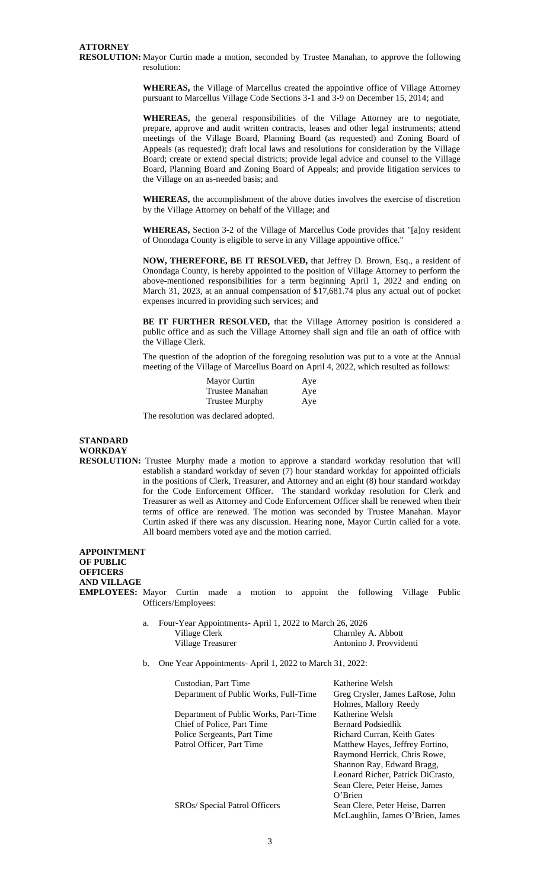**RESOLUTION:** Mayor Curtin made a motion, seconded by Trustee Manahan, to approve the following resolution:

> **WHEREAS,** the Village of Marcellus created the appointive office of Village Attorney pursuant to Marcellus Village Code Sections 3-1 and 3-9 on December 15, 2014; and

> **WHEREAS,** the general responsibilities of the Village Attorney are to negotiate, prepare, approve and audit written contracts, leases and other legal instruments; attend meetings of the Village Board, Planning Board (as requested) and Zoning Board of Appeals (as requested); draft local laws and resolutions for consideration by the Village Board; create or extend special districts; provide legal advice and counsel to the Village Board, Planning Board and Zoning Board of Appeals; and provide litigation services to the Village on an as-needed basis; and

> **WHEREAS,** the accomplishment of the above duties involves the exercise of discretion by the Village Attorney on behalf of the Village; and

> **WHEREAS,** Section 3-2 of the Village of Marcellus Code provides that "[a]ny resident of Onondaga County is eligible to serve in any Village appointive office."

> **NOW, THEREFORE, BE IT RESOLVED,** that Jeffrey D. Brown, Esq., a resident of Onondaga County, is hereby appointed to the position of Village Attorney to perform the above-mentioned responsibilities for a term beginning April 1, 2022 and ending on March 31, 2023, at an annual compensation of \$17,681.74 plus any actual out of pocket expenses incurred in providing such services; and

> **BE IT FURTHER RESOLVED,** that the Village Attorney position is considered a public office and as such the Village Attorney shall sign and file an oath of office with the Village Clerk.

> The question of the adoption of the foregoing resolution was put to a vote at the Annual meeting of the Village of Marcellus Board on April 4, 2022, which resulted as follows:

| Mayor Curtin          | Aye |
|-----------------------|-----|
| Trustee Manahan       | Aye |
| <b>Trustee Murphy</b> | Aye |

The resolution was declared adopted.

**STANDARD WORKDAY RESOLUTION:** Trustee Murphy made a motion to approve a standard workday resolution that will establish a standard workday of seven (7) hour standard workday for appointed officials in the positions of Clerk, Treasurer, and Attorney and an eight (8) hour standard workday for the Code Enforcement Officer. The standard workday resolution for Clerk and Treasurer as well as Attorney and Code Enforcement Officer shall be renewed when their terms of office are renewed. The motion was seconded by Trustee Manahan. Mayor Curtin asked if there was any discussion. Hearing none, Mayor Curtin called for a vote. All board members voted aye and the motion carried.

**APPOINTMENT OF PUBLIC OFFICERS AND VILLAGE EMPLOYEES:** Mayor Curtin made a motion to appoint the following Village Public Officers/Employees:

| a. |                   | Four-Year Appointments-April 1, 2022 to March 26, 2026 |  |  |
|----|-------------------|--------------------------------------------------------|--|--|
|    | Village Clerk     | Charnley A. Abbott                                     |  |  |
|    | Village Treasurer | Antonino J. Provvidenti                                |  |  |

b. One Year Appointments- April 1, 2022 to March 31, 2022:

| Custodian, Part Time                  | Katherine Welsh                   |
|---------------------------------------|-----------------------------------|
| Department of Public Works, Full-Time | Greg Crysler, James LaRose, John  |
|                                       | Holmes, Mallory Reedy             |
| Department of Public Works, Part-Time | Katherine Welsh                   |
| Chief of Police, Part Time            | <b>Bernard Podsiedlik</b>         |
| Police Sergeants, Part Time           | Richard Curran, Keith Gates       |
| Patrol Officer, Part Time             | Matthew Hayes, Jeffrey Fortino,   |
|                                       | Raymond Herrick, Chris Rowe,      |
|                                       | Shannon Ray, Edward Bragg,        |
|                                       | Leonard Richer, Patrick DiCrasto, |
|                                       | Sean Clere, Peter Heise, James    |
|                                       | O'Brien                           |
| SROs/ Special Patrol Officers         | Sean Clere, Peter Heise, Darren   |
|                                       | McLaughlin, James O'Brien, James  |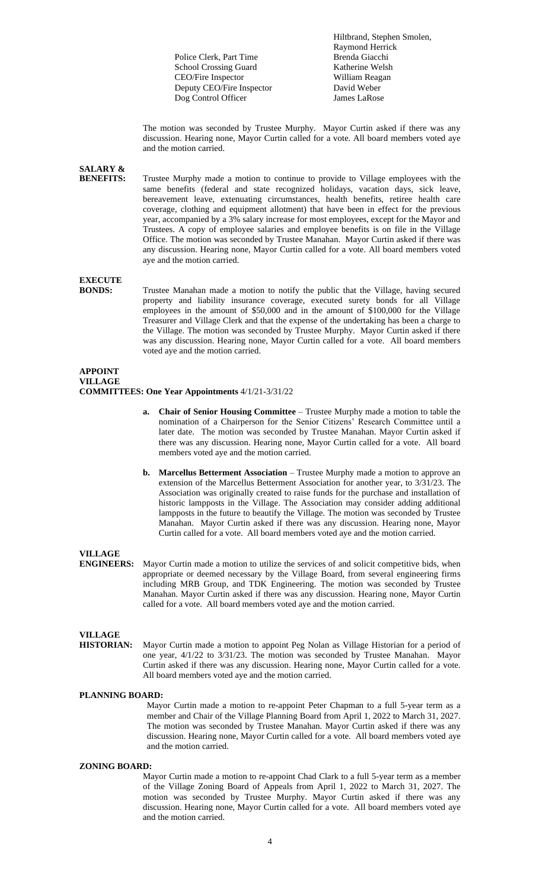Police Clerk, Part Time School Crossing Guard<br>
CEO/Fire Inspector<br>
William Reagan CEO/Fire Inspector<br>
Deputy CEO/Fire Inspector<br>
David Weber Deputy CEO/Fire Inspector Dog Control Officer James LaRose

Hiltbrand, Stephen Smolen, Raymond Herrick

The motion was seconded by Trustee Murphy. Mayor Curtin asked if there was any discussion. Hearing none, Mayor Curtin called for a vote. All board members voted aye and the motion carried.

**SALARY &**

Trustee Murphy made a motion to continue to provide to Village employees with the same benefits (federal and state recognized holidays, vacation days, sick leave, bereavement leave, extenuating circumstances, health benefits, retiree health care coverage, clothing and equipment allotment) that have been in effect for the previous year, accompanied by a 3% salary increase for most employees, except for the Mayor and Trustees. A copy of employee salaries and employee benefits is on file in the Village Office. The motion was seconded by Trustee Manahan. Mayor Curtin asked if there was any discussion. Hearing none, Mayor Curtin called for a vote. All board members voted aye and the motion carried.

**EXECUTE**

Trustee Manahan made a motion to notify the public that the Village, having secured property and liability insurance coverage, executed surety bonds for all Village employees in the amount of \$50,000 and in the amount of \$100,000 for the Village Treasurer and Village Clerk and that the expense of the undertaking has been a charge to the Village. The motion was seconded by Trustee Murphy. Mayor Curtin asked if there was any discussion. Hearing none, Mayor Curtin called for a vote. All board members voted aye and the motion carried.

## **APPOINT VILLAGE**

**COMMITTEES: One Year Appointments** 4/1/21-3/31/22

- **a. Chair of Senior Housing Committee** Trustee Murphy made a motion to table the nomination of a Chairperson for the Senior Citizens' Research Committee until a later date. The motion was seconded by Trustee Manahan. Mayor Curtin asked if there was any discussion. Hearing none, Mayor Curtin called for a vote. All board members voted aye and the motion carried.
- **b. Marcellus Betterment Association** Trustee Murphy made a motion to approve an extension of the Marcellus Betterment Association for another year, to 3/31/23. The Association was originally created to raise funds for the purchase and installation of historic lampposts in the Village. The Association may consider adding additional lampposts in the future to beautify the Village. The motion was seconded by Trustee Manahan. Mayor Curtin asked if there was any discussion. Hearing none, Mayor Curtin called for a vote. All board members voted aye and the motion carried.

# **VILLAGE**

Mayor Curtin made a motion to utilize the services of and solicit competitive bids, when appropriate or deemed necessary by the Village Board, from several engineering firms including MRB Group, and TDK Engineering. The motion was seconded by Trustee Manahan. Mayor Curtin asked if there was any discussion. Hearing none, Mayor Curtin called for a vote. All board members voted aye and the motion carried.

# **VILLAGE**

**HISTORIAN:** Mayor Curtin made a motion to appoint Peg Nolan as Village Historian for a period of one year, 4/1/22 to 3/31/23. The motion was seconded by Trustee Manahan. Mayor Curtin asked if there was any discussion. Hearing none, Mayor Curtin called for a vote. All board members voted aye and the motion carried.

## **PLANNING BOARD:**

Mayor Curtin made a motion to re-appoint Peter Chapman to a full 5-year term as a member and Chair of the Village Planning Board from April 1, 2022 to March 31, 2027. The motion was seconded by Trustee Manahan. Mayor Curtin asked if there was any discussion. Hearing none, Mayor Curtin called for a vote. All board members voted aye and the motion carried.

## **ZONING BOARD:**

Mayor Curtin made a motion to re-appoint Chad Clark to a full 5-year term as a member of the Village Zoning Board of Appeals from April 1, 2022 to March 31, 2027. The motion was seconded by Trustee Murphy. Mayor Curtin asked if there was any discussion. Hearing none, Mayor Curtin called for a vote. All board members voted aye and the motion carried.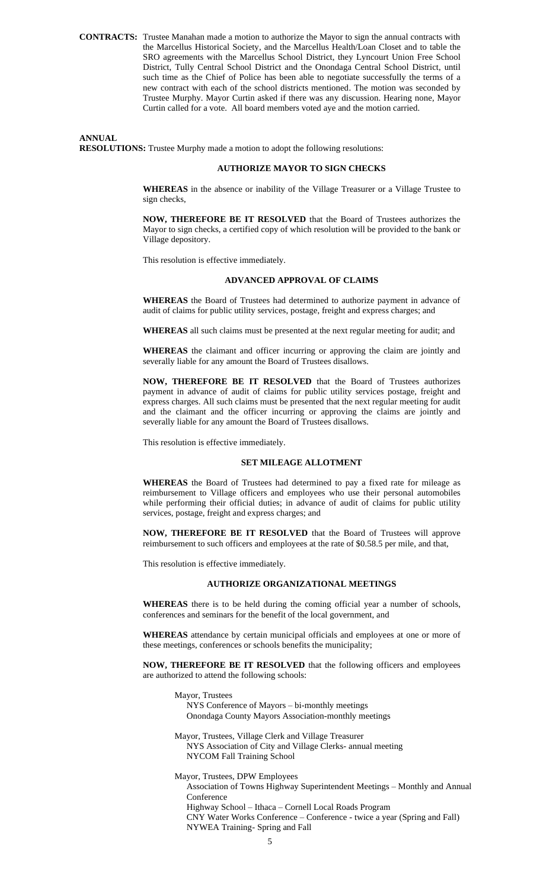**CONTRACTS:** Trustee Manahan made a motion to authorize the Mayor to sign the annual contracts with the Marcellus Historical Society, and the Marcellus Health/Loan Closet and to table the SRO agreements with the Marcellus School District, they Lyncourt Union Free School District, Tully Central School District and the Onondaga Central School District, until such time as the Chief of Police has been able to negotiate successfully the terms of a new contract with each of the school districts mentioned. The motion was seconded by Trustee Murphy. Mayor Curtin asked if there was any discussion. Hearing none, Mayor Curtin called for a vote. All board members voted aye and the motion carried.

**ANNUAL RESOLUTIONS:** Trustee Murphy made a motion to adopt the following resolutions:

## **AUTHORIZE MAYOR TO SIGN CHECKS**

**WHEREAS** in the absence or inability of the Village Treasurer or a Village Trustee to sign checks,

**NOW, THEREFORE BE IT RESOLVED** that the Board of Trustees authorizes the Mayor to sign checks, a certified copy of which resolution will be provided to the bank or Village depository.

This resolution is effective immediately.

#### **ADVANCED APPROVAL OF CLAIMS**

**WHEREAS** the Board of Trustees had determined to authorize payment in advance of audit of claims for public utility services, postage, freight and express charges; and

**WHEREAS** all such claims must be presented at the next regular meeting for audit; and

**WHEREAS** the claimant and officer incurring or approving the claim are jointly and severally liable for any amount the Board of Trustees disallows.

**NOW, THEREFORE BE IT RESOLVED** that the Board of Trustees authorizes payment in advance of audit of claims for public utility services postage, freight and express charges. All such claims must be presented that the next regular meeting for audit and the claimant and the officer incurring or approving the claims are jointly and severally liable for any amount the Board of Trustees disallows.

This resolution is effective immediately.

## **SET MILEAGE ALLOTMENT**

**WHEREAS** the Board of Trustees had determined to pay a fixed rate for mileage as reimbursement to Village officers and employees who use their personal automobiles while performing their official duties; in advance of audit of claims for public utility services, postage, freight and express charges; and

**NOW, THEREFORE BE IT RESOLVED** that the Board of Trustees will approve reimbursement to such officers and employees at the rate of \$0.58.5 per mile, and that,

This resolution is effective immediately.

## **AUTHORIZE ORGANIZATIONAL MEETINGS**

**WHEREAS** there is to be held during the coming official year a number of schools, conferences and seminars for the benefit of the local government, and

**WHEREAS** attendance by certain municipal officials and employees at one or more of these meetings, conferences or schools benefits the municipality;

**NOW, THEREFORE BE IT RESOLVED** that the following officers and employees are authorized to attend the following schools:

Mayor, Trustees

NYS Conference of Mayors – bi-monthly meetings Onondaga County Mayors Association-monthly meetings

Mayor, Trustees, Village Clerk and Village Treasurer NYS Association of City and Village Clerks- annual meeting

NYCOM Fall Training School

Mayor, Trustees, DPW Employees Association of Towns Highway Superintendent Meetings – Monthly and Annual Conference Highway School – Ithaca – Cornell Local Roads Program CNY Water Works Conference – Conference - twice a year (Spring and Fall) NYWEA Training- Spring and Fall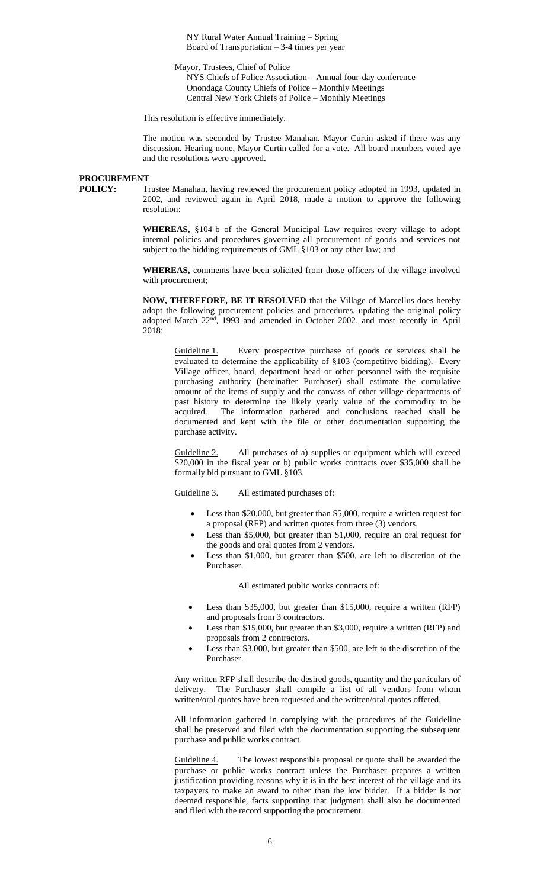NY Rural Water Annual Training – Spring Board of Transportation  $-3-4$  times per year

Mayor, Trustees, Chief of Police

NYS Chiefs of Police Association – Annual four-day conference Onondaga County Chiefs of Police – Monthly Meetings Central New York Chiefs of Police – Monthly Meetings

This resolution is effective immediately.

The motion was seconded by Trustee Manahan. Mayor Curtin asked if there was any discussion. Hearing none, Mayor Curtin called for a vote. All board members voted aye and the resolutions were approved.

## **PROCUREMENT**

**POLICY:** Trustee Manahan, having reviewed the procurement policy adopted in 1993, updated in 2002, and reviewed again in April 2018, made a motion to approve the following resolution:

> **WHEREAS,** §104-b of the General Municipal Law requires every village to adopt internal policies and procedures governing all procurement of goods and services not subject to the bidding requirements of GML §103 or any other law; and

> **WHEREAS,** comments have been solicited from those officers of the village involved with procurement;

> **NOW, THEREFORE, BE IT RESOLVED** that the Village of Marcellus does hereby adopt the following procurement policies and procedures, updating the original policy adopted March 22nd, 1993 and amended in October 2002, and most recently in April 2018:

Guideline 1. Every prospective purchase of goods or services shall be evaluated to determine the applicability of §103 (competitive bidding). Every Village officer, board, department head or other personnel with the requisite purchasing authority (hereinafter Purchaser) shall estimate the cumulative amount of the items of supply and the canvass of other village departments of past history to determine the likely yearly value of the commodity to be acquired. The information gathered and conclusions reached shall be documented and kept with the file or other documentation supporting the purchase activity.

Guideline 2. All purchases of a) supplies or equipment which will exceed \$20,000 in the fiscal year or b) public works contracts over \$35,000 shall be formally bid pursuant to GML §103.

Guideline 3. All estimated purchases of:

- Less than \$20,000, but greater than \$5,000, require a written request for a proposal (RFP) and written quotes from three (3) vendors.
- Less than \$5,000, but greater than \$1,000, require an oral request for the goods and oral quotes from 2 vendors.
- Less than \$1,000, but greater than \$500, are left to discretion of the Purchaser.

All estimated public works contracts of:

- Less than \$35,000, but greater than \$15,000, require a written (RFP) and proposals from 3 contractors.
- Less than \$15,000, but greater than \$3,000, require a written (RFP) and proposals from 2 contractors.
- Less than \$3,000, but greater than \$500, are left to the discretion of the Purchaser.

Any written RFP shall describe the desired goods, quantity and the particulars of delivery. The Purchaser shall compile a list of all vendors from whom written/oral quotes have been requested and the written/oral quotes offered.

All information gathered in complying with the procedures of the Guideline shall be preserved and filed with the documentation supporting the subsequent purchase and public works contract.

Guideline 4. The lowest responsible proposal or quote shall be awarded the purchase or public works contract unless the Purchaser prepares a written justification providing reasons why it is in the best interest of the village and its taxpayers to make an award to other than the low bidder. If a bidder is not deemed responsible, facts supporting that judgment shall also be documented and filed with the record supporting the procurement.